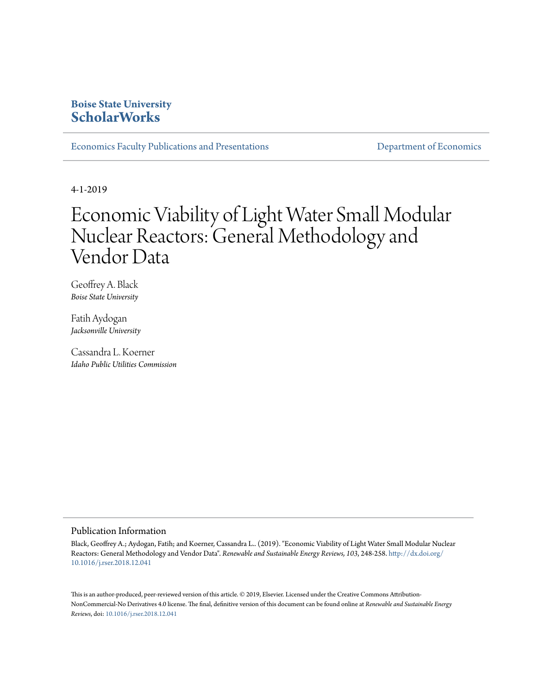# **Boise State University [ScholarWorks](https://scholarworks.boisestate.edu)**

[Economics Faculty Publications and Presentations](https://scholarworks.boisestate.edu/econ_facpubs) [Department of Economics](https://scholarworks.boisestate.edu/econ)

4-1-2019

# Economic Viability of Light Water Small Modular Nuclear Reactors: General Methodology and Vendor Data

Geoffrey A. Black *Boise State University*

Fatih Aydogan *Jacksonville University*

Cassandra L. Koerner *Idaho Public Utilities Commission*

#### Publication Information

Black, Geoffrey A.; Aydogan, Fatih; and Koerner, Cassandra L.. (2019). "Economic Viability of Light Water Small Modular Nuclear Reactors: General Methodology and Vendor Data". *Renewable and Sustainable Energy Reviews, 103*, 248-258. [http://dx.doi.org/](http://dx.doi.org/10.1016/j.rser.2018.12.041) [10.1016/j.rser.2018.12.041](http://dx.doi.org/10.1016/j.rser.2018.12.041)

This is an author-produced, peer-reviewed version of this article. © 2019, Elsevier. Licensed under the Creative Commons Attribution-NonCommercial-No Derivatives 4.0 license. The final, definitive version of this document can be found online at *Renewable and Sustainable Energy Reviews*, doi: [10.1016/j.rser.2018.12.041](http://dx.doi.org/10.1016/j.rser.2018.12.041)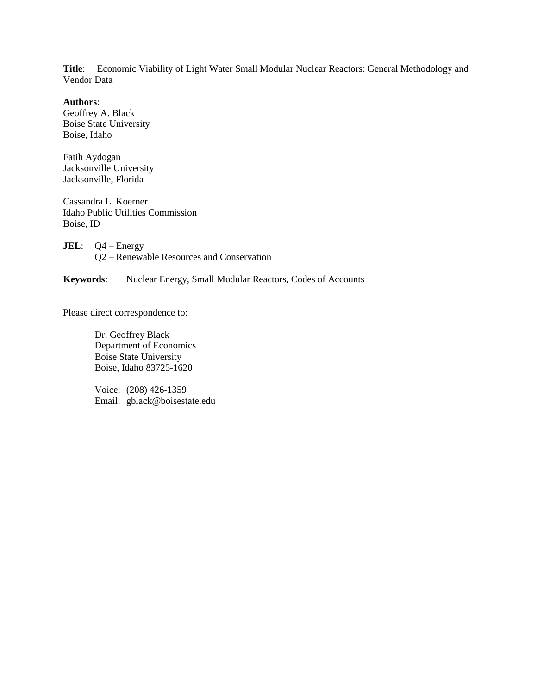**Title**: Economic Viability of Light Water Small Modular Nuclear Reactors: General Methodology and Vendor Data

# **Authors**:

Geoffrey A. Black Boise State University Boise, Idaho

Fatih Aydogan Jacksonville University Jacksonville, Florida

Cassandra L. Koerner Idaho Public Utilities Commission Boise, ID

**JEL**: Q4 – Energy Q2 – Renewable Resources and Conservation

**Keywords**: Nuclear Energy, Small Modular Reactors, Codes of Accounts

Please direct correspondence to:

Dr. Geoffrey Black Department of Economics Boise State University Boise, Idaho 83725-1620

Voice: (208) 426-1359 Email: gblack@boisestate.edu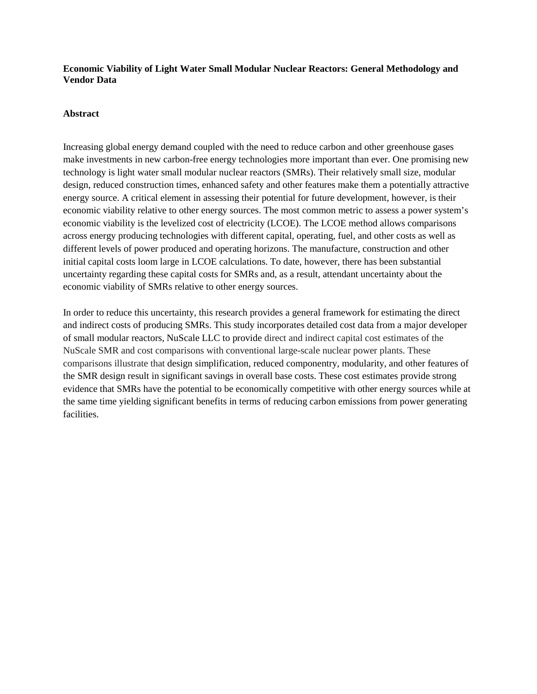# **Economic Viability of Light Water Small Modular Nuclear Reactors: General Methodology and Vendor Data**

# **Abstract**

Increasing global energy demand coupled with the need to reduce carbon and other greenhouse gases make investments in new carbon-free energy technologies more important than ever. One promising new technology is light water small modular nuclear reactors (SMRs). Their relatively small size, modular design, reduced construction times, enhanced safety and other features make them a potentially attractive energy source. A critical element in assessing their potential for future development, however, is their economic viability relative to other energy sources. The most common metric to assess a power system's economic viability is the levelized cost of electricity (LCOE). The LCOE method allows comparisons across energy producing technologies with different capital, operating, fuel, and other costs as well as different levels of power produced and operating horizons. The manufacture, construction and other initial capital costs loom large in LCOE calculations. To date, however, there has been substantial uncertainty regarding these capital costs for SMRs and, as a result, attendant uncertainty about the economic viability of SMRs relative to other energy sources.

In order to reduce this uncertainty, this research provides a general framework for estimating the direct and indirect costs of producing SMRs. This study incorporates detailed cost data from a major developer of small modular reactors, NuScale LLC to provide direct and indirect capital cost estimates of the NuScale SMR and cost comparisons with conventional large-scale nuclear power plants. These comparisons illustrate that design simplification, reduced componentry, modularity, and other features of the SMR design result in significant savings in overall base costs. These cost estimates provide strong evidence that SMRs have the potential to be economically competitive with other energy sources while at the same time yielding significant benefits in terms of reducing carbon emissions from power generating facilities.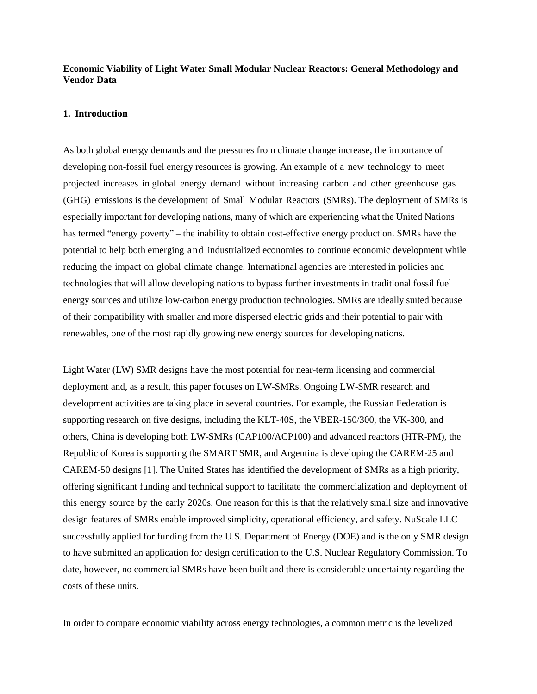# **Economic Viability of Light Water Small Modular Nuclear Reactors: General Methodology and Vendor Data**

#### **1. Introduction**

As both global energy demands and the pressures from climate change increase, the importance of developing non-fossil fuel energy resources is growing. An example of a new technology to meet projected increases in global energy demand without increasing carbon and other greenhouse gas (GHG) emissions is the development of Small Modular Reactors (SMRs). The deployment of SMRs is especially important for developing nations, many of which are experiencing what the United Nations has termed "energy poverty" – the inability to obtain cost-effective energy production. SMRs have the potential to help both emerging and industrialized economies to continue economic development while reducing the impact on global climate change. International agencies are interested in policies and technologies that will allow developing nations to bypass further investments in traditional fossil fuel energy sources and utilize low-carbon energy production technologies. SMRs are ideally suited because of their compatibility with smaller and more dispersed electric grids and their potential to pair with renewables, one of the most rapidly growing new energy sources for developing nations.

Light Water (LW) SMR designs have the most potential for near-term licensing and commercial deployment and, as a result, this paper focuses on LW-SMRs. Ongoing LW-SMR research and development activities are taking place in several countries. For example, the Russian Federation is supporting research on five designs, including the KLT-40S, the VBER-150/300, the VK-300, and others, China is developing both LW-SMRs (CAP100/ACP100) and advanced reactors (HTR-PM), the Republic of Korea is supporting the SMART SMR, and Argentina is developing the CAREM-25 and CAREM-50 designs [1]. The United States has identified the development of SMRs as a high priority, offering significant funding and technical support to facilitate the commercialization and deployment of this energy source by the early 2020s. One reason for this is that the relatively small size and innovative design features of SMRs enable improved simplicity, operational efficiency, and safety. NuScale LLC successfully applied for funding from the U.S. Department of Energy (DOE) and is the only SMR design to have submitted an application for design certification to the U.S. Nuclear Regulatory Commission. To date, however, no commercial SMRs have been built and there is considerable uncertainty regarding the costs of these units.

In order to compare economic viability across energy technologies, a common metric is the levelized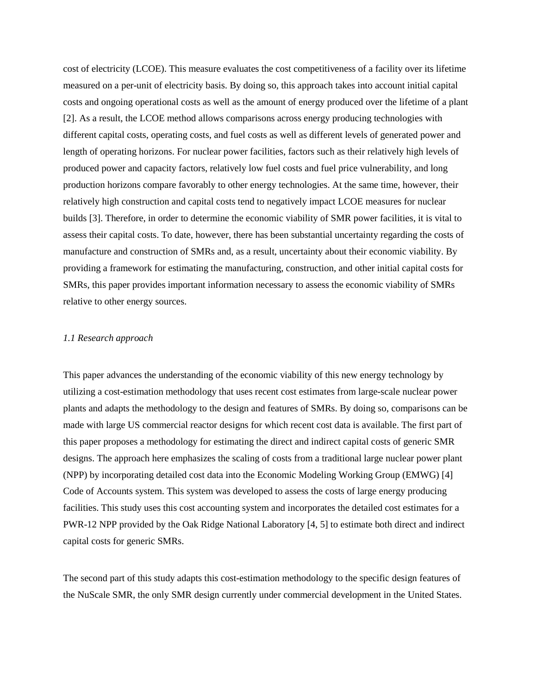cost of electricity (LCOE). This measure evaluates the cost competitiveness of a facility over its lifetime measured on a per-unit of electricity basis. By doing so, this approach takes into account initial capital costs and ongoing operational costs as well as the amount of energy produced over the lifetime of a plant [2]. As a result, the LCOE method allows comparisons across energy producing technologies with different capital costs, operating costs, and fuel costs as well as different levels of generated power and length of operating horizons. For nuclear power facilities, factors such as their relatively high levels of produced power and capacity factors, relatively low fuel costs and fuel price vulnerability, and long production horizons compare favorably to other energy technologies. At the same time, however, their relatively high construction and capital costs tend to negatively impact LCOE measures for nuclear builds [3]. Therefore, in order to determine the economic viability of SMR power facilities, it is vital to assess their capital costs. To date, however, there has been substantial uncertainty regarding the costs of manufacture and construction of SMRs and, as a result, uncertainty about their economic viability. By providing a framework for estimating the manufacturing, construction, and other initial capital costs for SMRs, this paper provides important information necessary to assess the economic viability of SMRs relative to other energy sources.

# *1.1 Research approach*

This paper advances the understanding of the economic viability of this new energy technology by utilizing a cost-estimation methodology that uses recent cost estimates from large-scale nuclear power plants and adapts the methodology to the design and features of SMRs. By doing so, comparisons can be made with large US commercial reactor designs for which recent cost data is available. The first part of this paper proposes a methodology for estimating the direct and indirect capital costs of generic SMR designs. The approach here emphasizes the scaling of costs from a traditional large nuclear power plant (NPP) by incorporating detailed cost data into the Economic Modeling Working Group (EMWG) [4] Code of Accounts system. This system was developed to assess the costs of large energy producing facilities. This study uses this cost accounting system and incorporates the detailed cost estimates for a PWR-12 NPP provided by the Oak Ridge National Laboratory [4, 5] to estimate both direct and indirect capital costs for generic SMRs.

The second part of this study adapts this cost-estimation methodology to the specific design features of the NuScale SMR, the only SMR design currently under commercial development in the United States.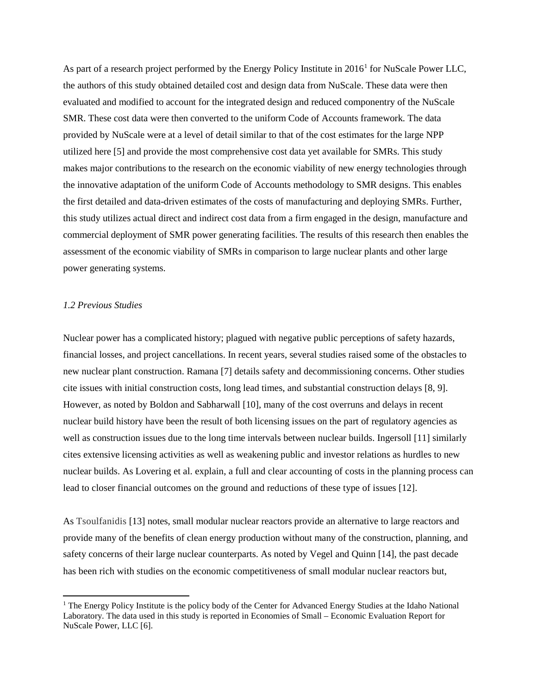As part of a research project performed by the Energy Policy Institute in 2016<sup>1</sup> for NuScale Power LLC, the authors of this study obtained detailed cost and design data from NuScale. These data were then evaluated and modified to account for the integrated design and reduced componentry of the NuScale SMR. These cost data were then converted to the uniform Code of Accounts framework. The data provided by NuScale were at a level of detail similar to that of the cost estimates for the large NPP utilized here [5] and provide the most comprehensive cost data yet available for SMRs. This study makes major contributions to the research on the economic viability of new energy technologies through the innovative adaptation of the uniform Code of Accounts methodology to SMR designs. This enables the first detailed and data-driven estimates of the costs of manufacturing and deploying SMRs. Further, this study utilizes actual direct and indirect cost data from a firm engaged in the design, manufacture and commercial deployment of SMR power generating facilities. The results of this research then enables the assessment of the economic viability of SMRs in comparison to large nuclear plants and other large power generating systems.

#### *1.2 Previous Studies*

 $\overline{\phantom{a}}$ 

Nuclear power has a complicated history; plagued with negative public perceptions of safety hazards, financial losses, and project cancellations. In recent years, several studies raised some of the obstacles to new nuclear plant construction. Ramana [7] details safety and decommissioning concerns. Other studies cite issues with initial construction costs, long lead times, and substantial construction delays [8, 9]. However, as noted by Boldon and Sabharwall [10], many of the cost overruns and delays in recent nuclear build history have been the result of both licensing issues on the part of regulatory agencies as well as construction issues due to the long time intervals between nuclear builds. Ingersoll [11] similarly cites extensive licensing activities as well as weakening public and investor relations as hurdles to new nuclear builds. As Lovering et al. explain, a full and clear accounting of costs in the planning process can lead to closer financial outcomes on the ground and reductions of these type of issues [12].

As Tsoulfanidis [13] notes, small modular nuclear reactors provide an alternative to large reactors and provide many of the benefits of clean energy production without many of the construction, planning, and safety concerns of their large nuclear counterparts. As noted by Vegel and Quinn [14], the past decade has been rich with studies on the economic competitiveness of small modular nuclear reactors but,

<span id="page-5-0"></span><sup>&</sup>lt;sup>1</sup> The Energy Policy Institute is the policy body of the Center for Advanced Energy Studies at the Idaho National Laboratory. The data used in this study is reported in Economies of Small – Economic Evaluation Report for NuScale Power, LLC [6].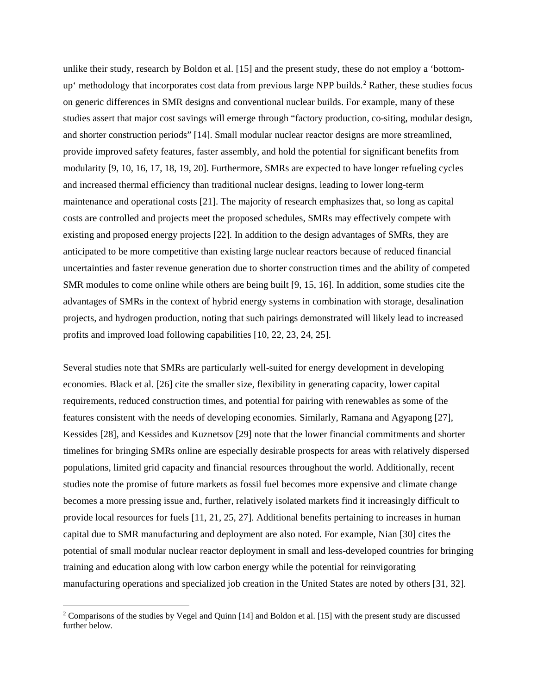unlike their study, research by Boldon et al. [15] and the present study, these do not employ a 'bottom-up' methodology that incorporates cost data from previous large NPP builds.<sup>[2](#page-6-0)</sup> Rather, these studies focus on generic differences in SMR designs and conventional nuclear builds. For example, many of these studies assert that major cost savings will emerge through "factory production, co-siting, modular design, and shorter construction periods" [14]. Small modular nuclear reactor designs are more streamlined, provide improved safety features, faster assembly, and hold the potential for significant benefits from modularity [9, 10, 16, 17, 18, 19, 20]. Furthermore, SMRs are expected to have longer refueling cycles and increased thermal efficiency than traditional nuclear designs, leading to lower long-term maintenance and operational costs [21]. The majority of research emphasizes that, so long as capital costs are controlled and projects meet the proposed schedules, SMRs may effectively compete with existing and proposed energy projects [22]. In addition to the design advantages of SMRs, they are anticipated to be more competitive than existing large nuclear reactors because of reduced financial uncertainties and faster revenue generation due to shorter construction times and the ability of competed SMR modules to come online while others are being built [9, 15, 16]. In addition, some studies cite the advantages of SMRs in the context of hybrid energy systems in combination with storage, desalination projects, and hydrogen production, noting that such pairings demonstrated will likely lead to increased profits and improved load following capabilities [10, 22, 23, 24, 25].

Several studies note that SMRs are particularly well-suited for energy development in developing economies. Black et al. [26] cite the smaller size, flexibility in generating capacity, lower capital requirements, reduced construction times, and potential for pairing with renewables as some of the features consistent with the needs of developing economies. Similarly, Ramana and Agyapong [27], Kessides [28], and Kessides and Kuznetsov [29] note that the lower financial commitments and shorter timelines for bringing SMRs online are especially desirable prospects for areas with relatively dispersed populations, limited grid capacity and financial resources throughout the world. Additionally, recent studies note the promise of future markets as fossil fuel becomes more expensive and climate change becomes a more pressing issue and, further, relatively isolated markets find it increasingly difficult to provide local resources for fuels [11, 21, 25, 27]. Additional benefits pertaining to increases in human capital due to SMR manufacturing and deployment are also noted. For example, Nian [30] cites the potential of small modular nuclear reactor deployment in small and less-developed countries for bringing training and education along with low carbon energy while the potential for reinvigorating manufacturing operations and specialized job creation in the United States are noted by others [31, 32].

l

<span id="page-6-0"></span><sup>&</sup>lt;sup>2</sup> Comparisons of the studies by Vegel and Quinn  $[14]$  and Boldon et al. [15] with the present study are discussed further below.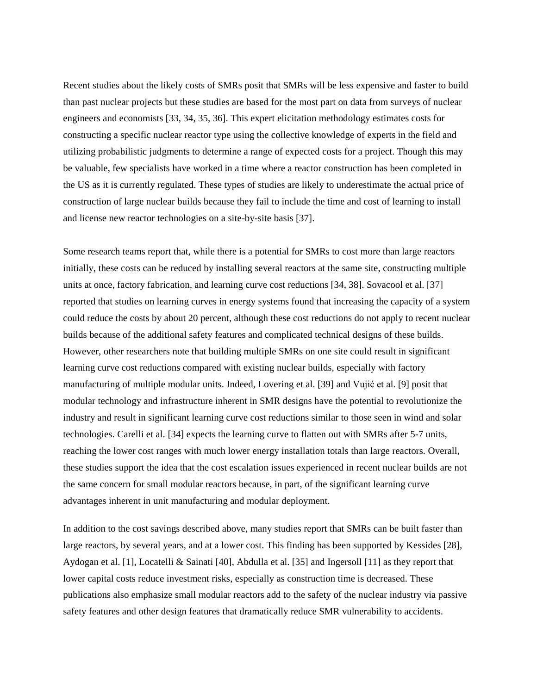Recent studies about the likely costs of SMRs posit that SMRs will be less expensive and faster to build than past nuclear projects but these studies are based for the most part on data from surveys of nuclear engineers and economists [33, 34, 35, 36]. This expert elicitation methodology estimates costs for constructing a specific nuclear reactor type using the collective knowledge of experts in the field and utilizing probabilistic judgments to determine a range of expected costs for a project. Though this may be valuable, few specialists have worked in a time where a reactor construction has been completed in the US as it is currently regulated. These types of studies are likely to underestimate the actual price of construction of large nuclear builds because they fail to include the time and cost of learning to install and license new reactor technologies on a site-by-site basis [37].

Some research teams report that, while there is a potential for SMRs to cost more than large reactors initially, these costs can be reduced by installing several reactors at the same site, constructing multiple units at once, factory fabrication, and learning curve cost reductions [34, 38]. Sovacool et al. [37] reported that studies on learning curves in energy systems found that increasing the capacity of a system could reduce the costs by about 20 percent, although these cost reductions do not apply to recent nuclear builds because of the additional safety features and complicated technical designs of these builds. However, other researchers note that building multiple SMRs on one site could result in significant learning curve cost reductions compared with existing nuclear builds, especially with factory manufacturing of multiple modular units. Indeed, Lovering et al. [39] and Vujić et al. [9] posit that modular technology and infrastructure inherent in SMR designs have the potential to revolutionize the industry and result in significant learning curve cost reductions similar to those seen in wind and solar technologies. Carelli et al. [34] expects the learning curve to flatten out with SMRs after 5-7 units, reaching the lower cost ranges with much lower energy installation totals than large reactors. Overall, these studies support the idea that the cost escalation issues experienced in recent nuclear builds are not the same concern for small modular reactors because, in part, of the significant learning curve advantages inherent in unit manufacturing and modular deployment.

In addition to the cost savings described above, many studies report that SMRs can be built faster than large reactors, by several years, and at a lower cost. This finding has been supported by Kessides [28], Aydogan et al. [1], Locatelli & Sainati [40], Abdulla et al. [35] and Ingersoll [11] as they report that lower capital costs reduce investment risks, especially as construction time is decreased. These publications also emphasize small modular reactors add to the safety of the nuclear industry via passive safety features and other design features that dramatically reduce SMR vulnerability to accidents.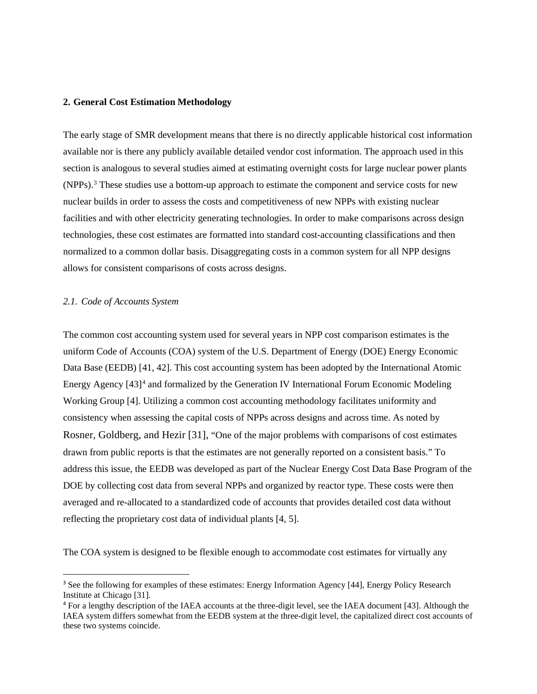#### **2. General Cost Estimation Methodology**

The early stage of SMR development means that there is no directly applicable historical cost information available nor is there any publicly available detailed vendor cost information. The approach used in this section is analogous to several studies aimed at estimating overnight costs for large nuclear power plants (NPPs).<sup>[3](#page-8-0)</sup> These studies use a bottom-up approach to estimate the component and service costs for new nuclear builds in order to assess the costs and competitiveness of new NPPs with existing nuclear facilities and with other electricity generating technologies. In order to make comparisons across design technologies, these cost estimates are formatted into standard cost-accounting classifications and then normalized to a common dollar basis. Disaggregating costs in a common system for all NPP designs allows for consistent comparisons of costs across designs.

#### *2.1. Code of Accounts System*

 $\overline{\phantom{a}}$ 

The common cost accounting system used for several years in NPP cost comparison estimates is the uniform Code of Accounts (COA) system of the U.S. Department of Energy (DOE) Energy Economic Data Base (EEDB) [41, 42]. This cost accounting system has been adopted by the International Atomic Energy Agency [[4](#page-8-1)3]<sup>4</sup> and formalized by the Generation IV International Forum Economic Modeling Working Group [4]. Utilizing a common cost accounting methodology facilitates uniformity and consistency when assessing the capital costs of NPPs across designs and across time. As noted by Rosner, Goldberg, and Hezir [31], "One of the major problems with comparisons of cost estimates drawn from public reports is that the estimates are not generally reported on a consistent basis." To address this issue, the EEDB was developed as part of the Nuclear Energy Cost Data Base Program of the DOE by collecting cost data from several NPPs and organized by reactor type. These costs were then averaged and re-allocated to a standardized code of accounts that provides detailed cost data without reflecting the proprietary cost data of individual plants [4, 5].

The COA system is designed to be flexible enough to accommodate cost estimates for virtually any

<span id="page-8-0"></span><sup>&</sup>lt;sup>3</sup> See the following for examples of these estimates: Energy Information Agency [44], Energy Policy Research Institute at Chicago [31].

<span id="page-8-1"></span><sup>4</sup> For a lengthy description of the IAEA accounts at the three-digit level, see the IAEA document [43]. Although the IAEA system differs somewhat from the EEDB system at the three-digit level, the capitalized direct cost accounts of these two systems coincide.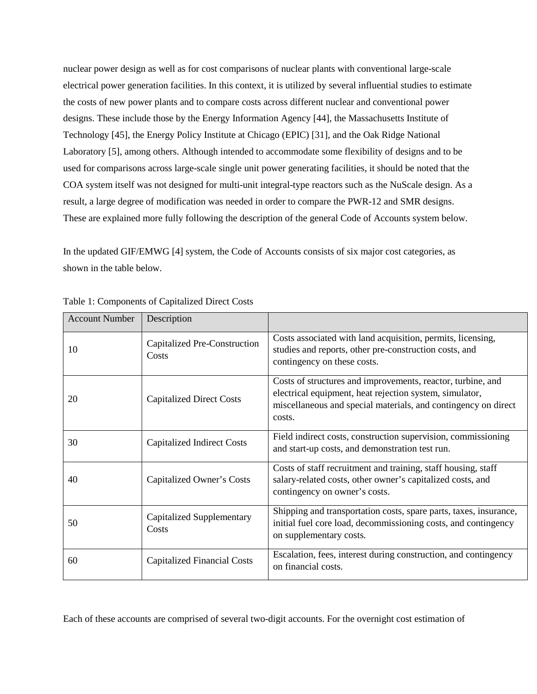nuclear power design as well as for cost comparisons of nuclear plants with conventional large-scale electrical power generation facilities. In this context, it is utilized by several influential studies to estimate the costs of new power plants and to compare costs across different nuclear and conventional power designs. These include those by the Energy Information Agency [44], the Massachusetts Institute of Technology [45], the Energy Policy Institute at Chicago (EPIC) [31], and the Oak Ridge National Laboratory [5], among others. Although intended to accommodate some flexibility of designs and to be used for comparisons across large-scale single unit power generating facilities, it should be noted that the COA system itself was not designed for multi-unit integral-type reactors such as the NuScale design. As a result, a large degree of modification was needed in order to compare the PWR-12 and SMR designs. These are explained more fully following the description of the general Code of Accounts system below.

In the updated GIF/EMWG [4] system, the Code of Accounts consists of six major cost categories, as shown in the table below.

| <b>Account Number</b> | Description                           |                                                                                                                                                                                                    |
|-----------------------|---------------------------------------|----------------------------------------------------------------------------------------------------------------------------------------------------------------------------------------------------|
| 10                    | Capitalized Pre-Construction<br>Costs | Costs associated with land acquisition, permits, licensing,<br>studies and reports, other pre-construction costs, and<br>contingency on these costs.                                               |
| 20                    | <b>Capitalized Direct Costs</b>       | Costs of structures and improvements, reactor, turbine, and<br>electrical equipment, heat rejection system, simulator,<br>miscellaneous and special materials, and contingency on direct<br>costs. |
| 30                    | <b>Capitalized Indirect Costs</b>     | Field indirect costs, construction supervision, commissioning<br>and start-up costs, and demonstration test run.                                                                                   |
| 40                    | Capitalized Owner's Costs             | Costs of staff recruitment and training, staff housing, staff<br>salary-related costs, other owner's capitalized costs, and<br>contingency on owner's costs.                                       |
| 50                    | Capitalized Supplementary<br>Costs    | Shipping and transportation costs, spare parts, taxes, insurance,<br>initial fuel core load, decommissioning costs, and contingency<br>on supplementary costs.                                     |
| 60                    | <b>Capitalized Financial Costs</b>    | Escalation, fees, interest during construction, and contingency<br>on financial costs.                                                                                                             |

Each of these accounts are comprised of several two-digit accounts. For the overnight cost estimation of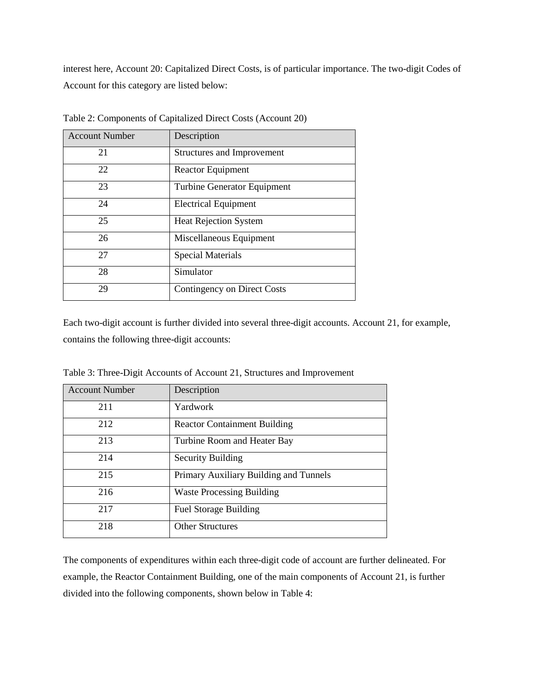interest here, Account 20: Capitalized Direct Costs, is of particular importance. The two-digit Codes of Account for this category are listed below:

| <b>Account Number</b> | Description                        |
|-----------------------|------------------------------------|
| 21                    | Structures and Improvement         |
| 22                    | <b>Reactor Equipment</b>           |
| 23                    | Turbine Generator Equipment        |
| 24                    | <b>Electrical Equipment</b>        |
| 25                    | <b>Heat Rejection System</b>       |
| 26                    | Miscellaneous Equipment            |
| 27                    | <b>Special Materials</b>           |
| 28                    | Simulator                          |
| 29                    | <b>Contingency on Direct Costs</b> |

Table 2: Components of Capitalized Direct Costs (Account 20)

Each two-digit account is further divided into several three-digit accounts. Account 21, for example, contains the following three-digit accounts:

| <b>Account Number</b> | Description                            |
|-----------------------|----------------------------------------|
| 211                   | Yardwork                               |
| 212                   | <b>Reactor Containment Building</b>    |
| 213                   | Turbine Room and Heater Bay            |
| 214                   | <b>Security Building</b>               |
| 215                   | Primary Auxiliary Building and Tunnels |
| 216                   | <b>Waste Processing Building</b>       |
| 217                   | <b>Fuel Storage Building</b>           |
| 218                   | <b>Other Structures</b>                |

Table 3: Three-Digit Accounts of Account 21, Structures and Improvement

The components of expenditures within each three-digit code of account are further delineated. For example, the Reactor Containment Building, one of the main components of Account 21, is further divided into the following components, shown below in Table 4: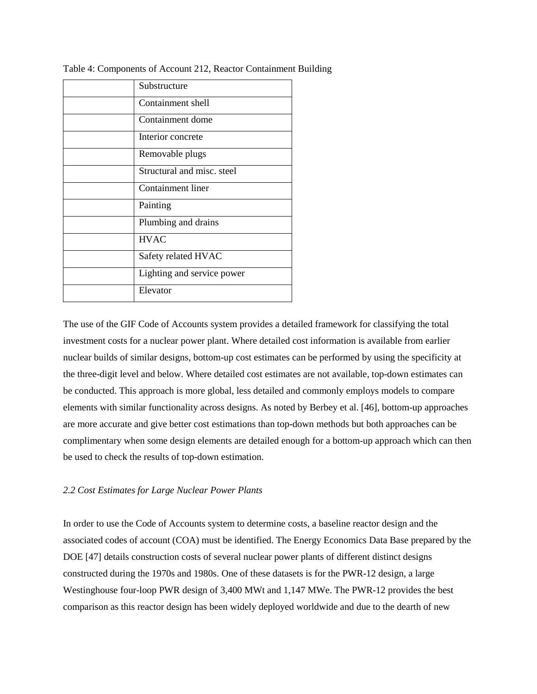| Substructure               |
|----------------------------|
| Containment shell          |
| Containment dome           |
| Interior concrete          |
| Removable plugs            |
| Structural and misc. steel |
| Containment liner          |
| Painting                   |
| Plumbing and drains        |
| <b>HVAC</b>                |
| Safety related HVAC        |
| Lighting and service power |
| Elevator                   |
|                            |

Table 4: Components of Account 212, Reactor Containment Building

The use of the GIF Code of Accounts system provides a detailed framework for classifying the total investment costs for a nuclear power plant. Where detailed cost information is available from earlier nuclear builds of similar designs, bottom-up cost estimates can be performed by using the specificity at the three-digit level and below. Where detailed cost estimates are not available, top-down estimates can be conducted. This approach is more global, less detailed and commonly employs models to compare elements with similar functionality across designs. As noted by Berbey et al. [46], bottom-up approaches are more accurate and give better cost estimations than top-down methods but both approaches can be complimentary when some design elements are detailed enough for a bottom-up approach which can then be used to check the results of top-down estimation.

#### *2.2 Cost Estimates for Large Nuclear Power Plants*

In order to use the Code of Accounts system to determine costs, a baseline reactor design and the associated codes of account (COA) must be identified. The Energy Economics Data Base prepared by the DOE [47] details construction costs of several nuclear power plants of different distinct designs constructed during the 1970s and 1980s. One of these datasets is for the PWR-12 design, a large Westinghouse four-loop PWR design of 3,400 MWt and 1,147 MWe. The PWR-12 provides the best comparison as this reactor design has been widely deployed worldwide and due to the dearth of new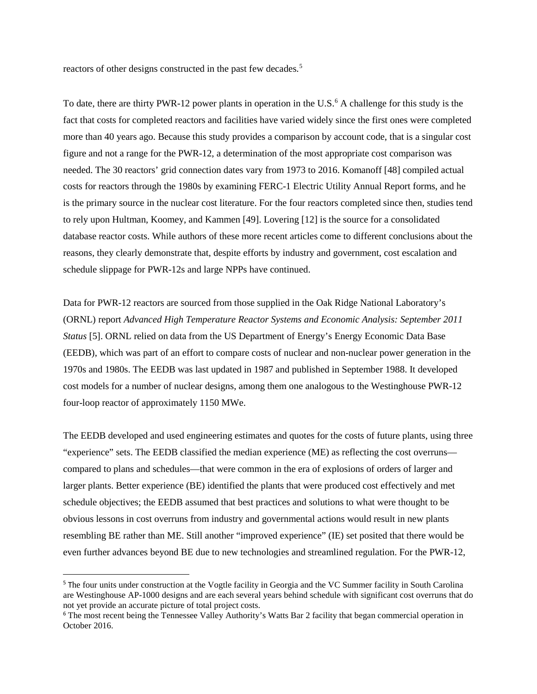reactors of other designs constructed in the past few decades.<sup>[5](#page-12-0)</sup>

To date, there are thirty PWR-12 power plants in operation in the U.S.<sup>[6](#page-12-1)</sup> A challenge for this study is the fact that costs for completed reactors and facilities have varied widely since the first ones were completed more than 40 years ago. Because this study provides a comparison by account code, that is a singular cost figure and not a range for the PWR-12, a determination of the most appropriate cost comparison was needed. The 30 reactors' grid connection dates vary from 1973 to 2016. Komanoff [48] compiled actual costs for reactors through the 1980s by examining FERC-1 Electric Utility Annual Report forms, and he is the primary source in the nuclear cost literature. For the four reactors completed since then, studies tend to rely upon Hultman, Koomey, and Kammen [49]. Lovering [12] is the source for a consolidated database reactor costs. While authors of these more recent articles come to different conclusions about the reasons, they clearly demonstrate that, despite efforts by industry and government, cost escalation and schedule slippage for PWR-12s and large NPPs have continued.

Data for PWR-12 reactors are sourced from those supplied in the Oak Ridge National Laboratory's (ORNL) report *Advanced High Temperature Reactor Systems and Economic Analysis: September 2011 Status* [5]. ORNL relied on data from the US Department of Energy's Energy Economic Data Base (EEDB), which was part of an effort to compare costs of nuclear and non-nuclear power generation in the 1970s and 1980s. The EEDB was last updated in 1987 and published in September 1988. It developed cost models for a number of nuclear designs, among them one analogous to the Westinghouse PWR-12 four-loop reactor of approximately 1150 MWe.

The EEDB developed and used engineering estimates and quotes for the costs of future plants, using three "experience" sets. The EEDB classified the median experience (ME) as reflecting the cost overruns compared to plans and schedules—that were common in the era of explosions of orders of larger and larger plants. Better experience (BE) identified the plants that were produced cost effectively and met schedule objectives; the EEDB assumed that best practices and solutions to what were thought to be obvious lessons in cost overruns from industry and governmental actions would result in new plants resembling BE rather than ME. Still another "improved experience" (IE) set posited that there would be even further advances beyond BE due to new technologies and streamlined regulation. For the PWR-12,

 $\overline{\phantom{a}}$ 

<span id="page-12-0"></span><sup>&</sup>lt;sup>5</sup> The four units under construction at the Vogtle facility in Georgia and the VC Summer facility in South Carolina are Westinghouse AP-1000 designs and are each several years behind schedule with significant cost overruns that do not yet provide an accurate picture of total project costs.

<span id="page-12-1"></span><sup>&</sup>lt;sup>6</sup> The most recent being the Tennessee Valley Authority's Watts Bar 2 facility that began commercial operation in October 2016.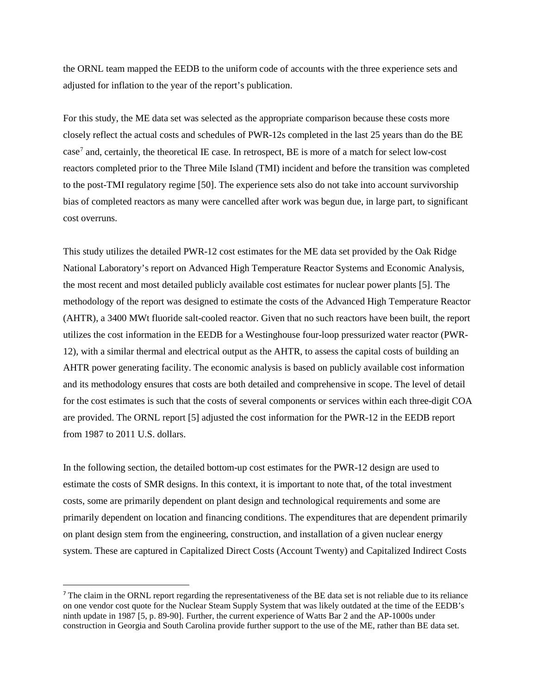the ORNL team mapped the EEDB to the uniform code of accounts with the three experience sets and adjusted for inflation to the year of the report's publication.

For this study, the ME data set was selected as the appropriate comparison because these costs more closely reflect the actual costs and schedules of PWR-12s completed in the last 25 years than do the BE case<sup>7</sup> and, certainly, the theoretical IE case. In retrospect, BE is more of a match for select low-cost reactors completed prior to the Three Mile Island (TMI) incident and before the transition was completed to the post-TMI regulatory regime [50]. The experience sets also do not take into account survivorship bias of completed reactors as many were cancelled after work was begun due, in large part, to significant cost overruns.

This study utilizes the detailed PWR-12 cost estimates for the ME data set provided by the Oak Ridge National Laboratory's report on Advanced High Temperature Reactor Systems and Economic Analysis, the most recent and most detailed publicly available cost estimates for nuclear power plants [5]. The methodology of the report was designed to estimate the costs of the Advanced High Temperature Reactor (AHTR), a 3400 MWt fluoride salt-cooled reactor. Given that no such reactors have been built, the report utilizes the cost information in the EEDB for a Westinghouse four-loop pressurized water reactor (PWR-12), with a similar thermal and electrical output as the AHTR, to assess the capital costs of building an AHTR power generating facility. The economic analysis is based on publicly available cost information and its methodology ensures that costs are both detailed and comprehensive in scope. The level of detail for the cost estimates is such that the costs of several components or services within each three-digit COA are provided. The ORNL report [5] adjusted the cost information for the PWR-12 in the EEDB report from 1987 to 2011 U.S. dollars.

In the following section, the detailed bottom-up cost estimates for the PWR-12 design are used to estimate the costs of SMR designs. In this context, it is important to note that, of the total investment costs, some are primarily dependent on plant design and technological requirements and some are primarily dependent on location and financing conditions. The expenditures that are dependent primarily on plant design stem from the engineering, construction, and installation of a given nuclear energy system. These are captured in Capitalized Direct Costs (Account Twenty) and Capitalized Indirect Costs

l

<span id="page-13-0"></span><sup>&</sup>lt;sup>7</sup> The claim in the ORNL report regarding the representativeness of the BE data set is not reliable due to its reliance on one vendor cost quote for the Nuclear Steam Supply System that was likely outdated at the time of the EEDB's ninth update in 1987 [5, p. 89-90]. Further, the current experience of Watts Bar 2 and the AP-1000s under construction in Georgia and South Carolina provide further support to the use of the ME, rather than BE data set.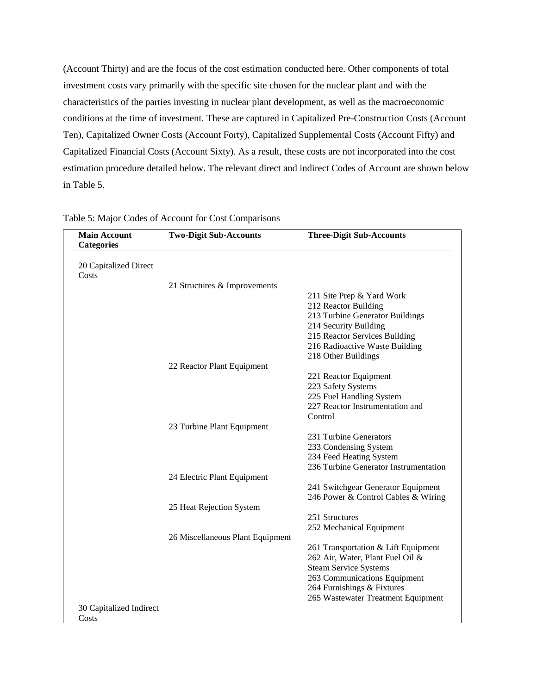(Account Thirty) and are the focus of the cost estimation conducted here. Other components of total investment costs vary primarily with the specific site chosen for the nuclear plant and with the characteristics of the parties investing in nuclear plant development, as well as the macroeconomic conditions at the time of investment. These are captured in Capitalized Pre-Construction Costs (Account Ten), Capitalized Owner Costs (Account Forty), Capitalized Supplemental Costs (Account Fifty) and Capitalized Financial Costs (Account Sixty). As a result, these costs are not incorporated into the cost estimation procedure detailed below. The relevant direct and indirect Codes of Account are shown below in Table 5.

| <b>Main Account</b>     | <b>Two-Digit Sub-Accounts</b>    | <b>Three-Digit Sub-Accounts</b>       |
|-------------------------|----------------------------------|---------------------------------------|
| <b>Categories</b>       |                                  |                                       |
|                         |                                  |                                       |
| 20 Capitalized Direct   |                                  |                                       |
| Costs                   |                                  |                                       |
|                         | 21 Structures & Improvements     |                                       |
|                         |                                  | 211 Site Prep & Yard Work             |
|                         |                                  | 212 Reactor Building                  |
|                         |                                  | 213 Turbine Generator Buildings       |
|                         |                                  | 214 Security Building                 |
|                         |                                  | 215 Reactor Services Building         |
|                         |                                  | 216 Radioactive Waste Building        |
|                         |                                  | 218 Other Buildings                   |
|                         | 22 Reactor Plant Equipment       |                                       |
|                         |                                  | 221 Reactor Equipment                 |
|                         |                                  | 223 Safety Systems                    |
|                         |                                  | 225 Fuel Handling System              |
|                         |                                  | 227 Reactor Instrumentation and       |
|                         |                                  | Control                               |
|                         | 23 Turbine Plant Equipment       |                                       |
|                         |                                  | 231 Turbine Generators                |
|                         |                                  | 233 Condensing System                 |
|                         |                                  | 234 Feed Heating System               |
|                         |                                  | 236 Turbine Generator Instrumentation |
|                         | 24 Electric Plant Equipment      |                                       |
|                         |                                  | 241 Switchgear Generator Equipment    |
|                         |                                  | 246 Power & Control Cables & Wiring   |
|                         | 25 Heat Rejection System         |                                       |
|                         |                                  | 251 Structures                        |
|                         |                                  | 252 Mechanical Equipment              |
|                         | 26 Miscellaneous Plant Equipment |                                       |
|                         |                                  | 261 Transportation & Lift Equipment   |
|                         |                                  | 262 Air, Water, Plant Fuel Oil &      |
|                         |                                  | <b>Steam Service Systems</b>          |
|                         |                                  | 263 Communications Equipment          |
|                         |                                  | 264 Furnishings & Fixtures            |
|                         |                                  | 265 Wastewater Treatment Equipment    |
| 30 Capitalized Indirect |                                  |                                       |
| Costs                   |                                  |                                       |

| Table 5: Major Codes of Account for Cost Comparisons |  |  |  |
|------------------------------------------------------|--|--|--|
|                                                      |  |  |  |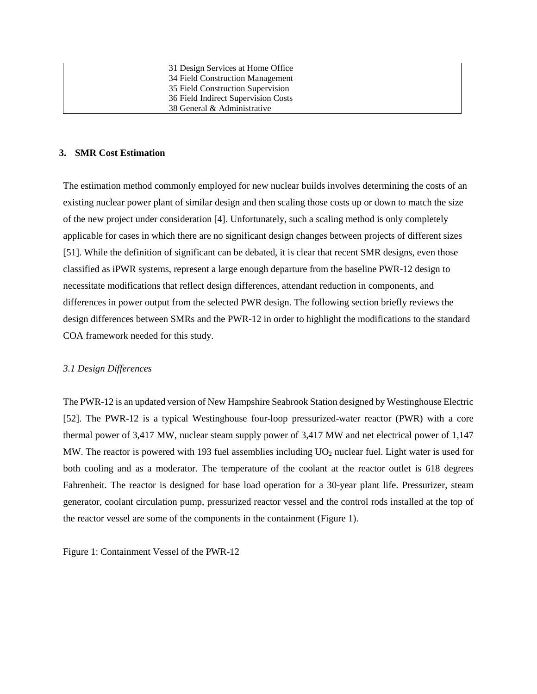| 31 Design Services at Home Office   |
|-------------------------------------|
| 34 Field Construction Management    |
| 35 Field Construction Supervision   |
| 36 Field Indirect Supervision Costs |
| 38 General & Administrative         |

#### **3. SMR Cost Estimation**

The estimation method commonly employed for new nuclear builds involves determining the costs of an existing nuclear power plant of similar design and then scaling those costs up or down to match the size of the new project under consideration [4]. Unfortunately, such a scaling method is only completely applicable for cases in which there are no significant design changes between projects of different sizes [51]. While the definition of significant can be debated, it is clear that recent SMR designs, even those classified as iPWR systems, represent a large enough departure from the baseline PWR-12 design to necessitate modifications that reflect design differences, attendant reduction in components, and differences in power output from the selected PWR design. The following section briefly reviews the design differences between SMRs and the PWR-12 in order to highlight the modifications to the standard COA framework needed for this study.

#### *3.1 Design Differences*

The PWR-12 is an updated version of New Hampshire Seabrook Station designed by Westinghouse Electric [52]. The PWR-12 is a typical Westinghouse four-loop pressurized-water reactor (PWR) with a core thermal power of 3,417 MW, nuclear steam supply power of 3,417 MW and net electrical power of 1,147 MW. The reactor is powered with 193 fuel assemblies including  $UO<sub>2</sub>$  nuclear fuel. Light water is used for both cooling and as a moderator. The temperature of the coolant at the reactor outlet is 618 degrees Fahrenheit. The reactor is designed for base load operation for a 30-year plant life. Pressurizer, steam generator, coolant circulation pump, pressurized reactor vessel and the control rods installed at the top of the reactor vessel are some of the components in the containment (Figure 1).

Figure 1: Containment Vessel of the PWR-12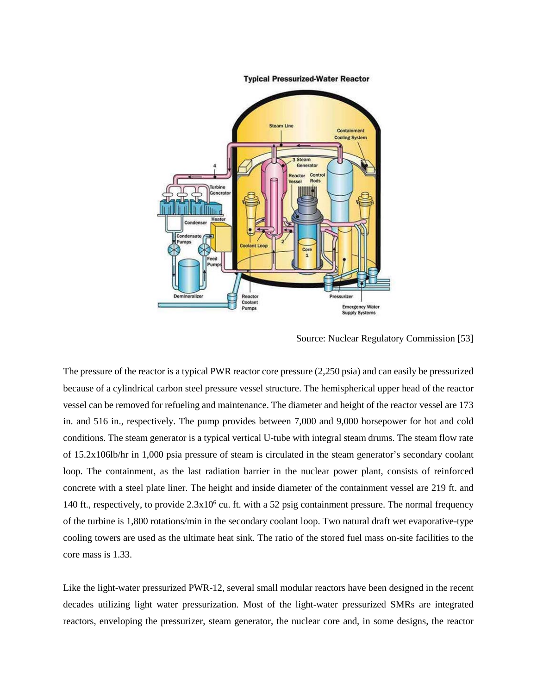**Typical Pressurized-Water Reactor** 



Source: Nuclear Regulatory Commission [53]

The pressure of the reactor is a typical PWR reactor core pressure (2,250 psia) and can easily be pressurized because of a cylindrical carbon steel pressure vessel structure. The hemispherical upper head of the reactor vessel can be removed for refueling and maintenance. The diameter and height of the reactor vessel are 173 in. and 516 in., respectively. The pump provides between 7,000 and 9,000 horsepower for hot and cold conditions. The steam generator is a typical vertical U-tube with integral steam drums. The steam flow rate of 15.2x106lb/hr in 1,000 psia pressure of steam is circulated in the steam generator's secondary coolant loop. The containment, as the last radiation barrier in the nuclear power plant, consists of reinforced concrete with a steel plate liner. The height and inside diameter of the containment vessel are 219 ft. and 140 ft., respectively, to provide  $2.3x10^6$  cu. ft. with a 52 psig containment pressure. The normal frequency of the turbine is 1,800 rotations/min in the secondary coolant loop. Two natural draft wet evaporative-type cooling towers are used as the ultimate heat sink. The ratio of the stored fuel mass on-site facilities to the core mass is 1.33.

Like the light-water pressurized PWR-12, several small modular reactors have been designed in the recent decades utilizing light water pressurization. Most of the light-water pressurized SMRs are integrated reactors, enveloping the pressurizer, steam generator, the nuclear core and, in some designs, the reactor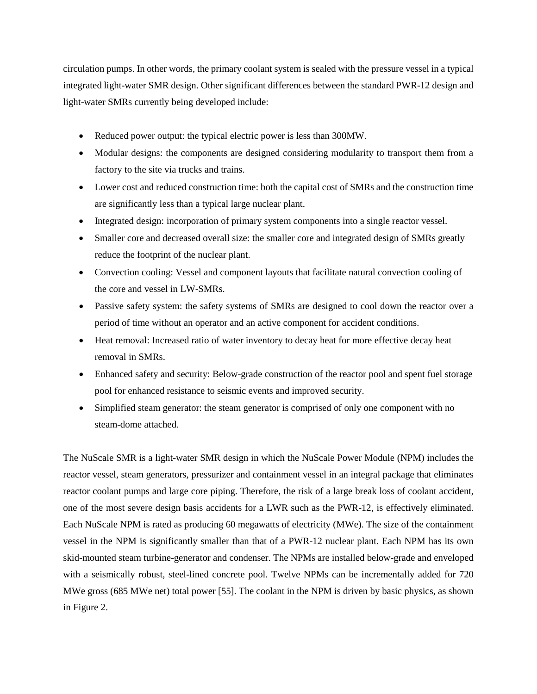circulation pumps. In other words, the primary coolant system is sealed with the pressure vessel in a typical integrated light-water SMR design. Other significant differences between the standard PWR-12 design and light-water SMRs currently being developed include:

- Reduced power output: the typical electric power is less than 300MW.
- Modular designs: the components are designed considering modularity to transport them from a factory to the site via trucks and trains.
- Lower cost and reduced construction time: both the capital cost of SMRs and the construction time are significantly less than a typical large nuclear plant.
- Integrated design: incorporation of primary system components into a single reactor vessel.
- Smaller core and decreased overall size: the smaller core and integrated design of SMRs greatly reduce the footprint of the nuclear plant.
- Convection cooling: Vessel and component layouts that facilitate natural convection cooling of the core and vessel in LW-SMRs.
- Passive safety system: the safety systems of SMRs are designed to cool down the reactor over a period of time without an operator and an active component for accident conditions.
- Heat removal: Increased ratio of water inventory to decay heat for more effective decay heat removal in SMRs.
- Enhanced safety and security: Below-grade construction of the reactor pool and spent fuel storage pool for enhanced resistance to seismic events and improved security.
- Simplified steam generator: the steam generator is comprised of only one component with no steam-dome attached.

The NuScale SMR is a light-water SMR design in which the NuScale Power Module (NPM) includes the reactor vessel, steam generators, pressurizer and containment vessel in an integral package that eliminates reactor coolant pumps and large core piping. Therefore, the risk of a large break loss of coolant accident, one of the most severe design basis accidents for a LWR such as the PWR-12, is effectively eliminated. Each NuScale NPM is rated as producing 60 megawatts of electricity (MWe). The size of the containment vessel in the NPM is significantly smaller than that of a PWR-12 nuclear plant. Each NPM has its own skid-mounted steam turbine-generator and condenser. The NPMs are installed below-grade and enveloped with a seismically robust, steel-lined concrete pool. Twelve NPMs can be incrementally added for 720 MWe gross (685 MWe net) total power [55]. The coolant in the NPM is driven by basic physics, as shown in Figure 2.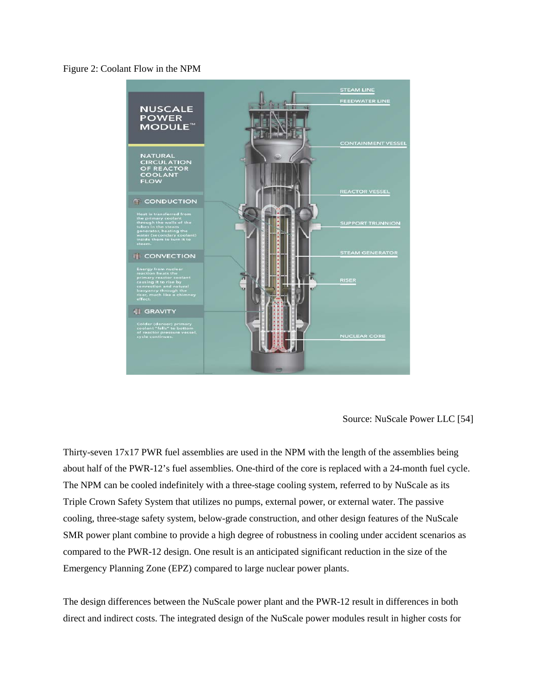#### Figure 2: Coolant Flow in the NPM



Source: NuScale Power LLC [54]

Thirty-seven 17x17 PWR fuel assemblies are used in the NPM with the length of the assemblies being about half of the PWR-12's fuel assemblies. One-third of the core is replaced with a 24-month fuel cycle. The NPM can be cooled indefinitely with a three-stage cooling system, referred to by NuScale as its Triple Crown Safety System that utilizes no pumps, external power, or external water. The passive cooling, three-stage safety system, below-grade construction, and other design features of the NuScale SMR power plant combine to provide a high degree of robustness in cooling under accident scenarios as compared to the PWR-12 design. One result is an anticipated significant reduction in the size of the Emergency Planning Zone (EPZ) compared to large nuclear power plants.

The design differences between the NuScale power plant and the PWR-12 result in differences in both direct and indirect costs. The integrated design of the NuScale power modules result in higher costs for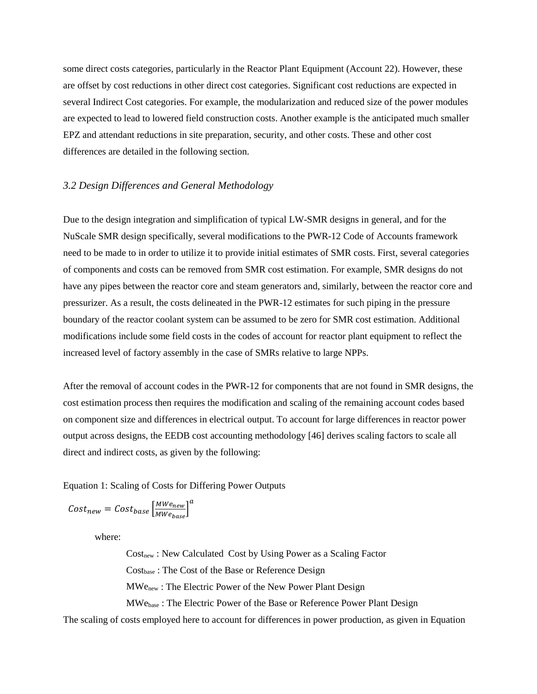some direct costs categories, particularly in the Reactor Plant Equipment (Account 22). However, these are offset by cost reductions in other direct cost categories. Significant cost reductions are expected in several Indirect Cost categories. For example, the modularization and reduced size of the power modules are expected to lead to lowered field construction costs. Another example is the anticipated much smaller EPZ and attendant reductions in site preparation, security, and other costs. These and other cost differences are detailed in the following section.

# *3.2 Design Differences and General Methodology*

Due to the design integration and simplification of typical LW-SMR designs in general, and for the NuScale SMR design specifically, several modifications to the PWR-12 Code of Accounts framework need to be made to in order to utilize it to provide initial estimates of SMR costs. First, several categories of components and costs can be removed from SMR cost estimation. For example, SMR designs do not have any pipes between the reactor core and steam generators and, similarly, between the reactor core and pressurizer. As a result, the costs delineated in the PWR-12 estimates for such piping in the pressure boundary of the reactor coolant system can be assumed to be zero for SMR cost estimation. Additional modifications include some field costs in the codes of account for reactor plant equipment to reflect the increased level of factory assembly in the case of SMRs relative to large NPPs.

After the removal of account codes in the PWR-12 for components that are not found in SMR designs, the cost estimation process then requires the modification and scaling of the remaining account codes based on component size and differences in electrical output. To account for large differences in reactor power output across designs, the EEDB cost accounting methodology [46] derives scaling factors to scale all direct and indirect costs, as given by the following:

#### Equation 1: Scaling of Costs for Differing Power Outputs

$$
Cost_{new} = Cost_{base} \left[ \frac{MWe_{new}}{MWe_{base}} \right]^a
$$

where:

Cost<sub>new</sub>: New Calculated Cost by Using Power as a Scaling Factor Costbase : The Cost of the Base or Reference Design MWe<sub>new</sub>: The Electric Power of the New Power Plant Design MWebase : The Electric Power of the Base or Reference Power Plant Design

The scaling of costs employed here to account for differences in power production, as given in Equation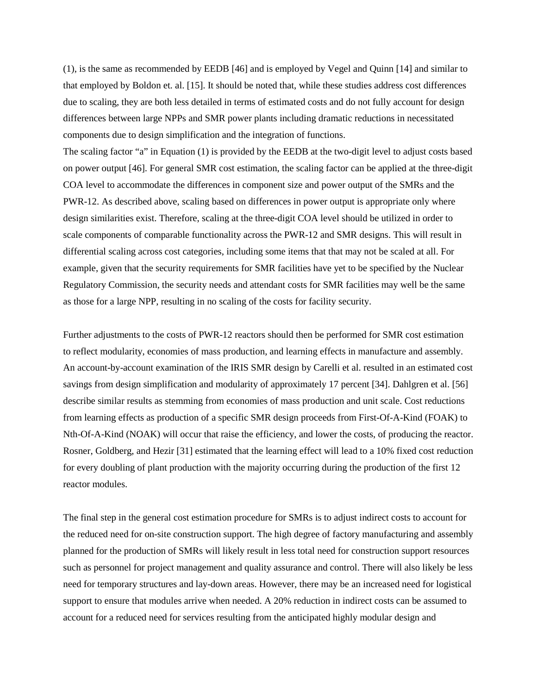(1), is the same as recommended by EEDB [46] and is employed by Vegel and Quinn [14] and similar to that employed by Boldon et. al. [15]. It should be noted that, while these studies address cost differences due to scaling, they are both less detailed in terms of estimated costs and do not fully account for design differences between large NPPs and SMR power plants including dramatic reductions in necessitated components due to design simplification and the integration of functions.

The scaling factor "a" in Equation (1) is provided by the EEDB at the two-digit level to adjust costs based on power output [46]. For general SMR cost estimation, the scaling factor can be applied at the three-digit COA level to accommodate the differences in component size and power output of the SMRs and the PWR-12. As described above, scaling based on differences in power output is appropriate only where design similarities exist. Therefore, scaling at the three-digit COA level should be utilized in order to scale components of comparable functionality across the PWR-12 and SMR designs. This will result in differential scaling across cost categories, including some items that that may not be scaled at all. For example, given that the security requirements for SMR facilities have yet to be specified by the Nuclear Regulatory Commission, the security needs and attendant costs for SMR facilities may well be the same as those for a large NPP, resulting in no scaling of the costs for facility security.

Further adjustments to the costs of PWR-12 reactors should then be performed for SMR cost estimation to reflect modularity, economies of mass production, and learning effects in manufacture and assembly. An account-by-account examination of the IRIS SMR design by Carelli et al. resulted in an estimated cost savings from design simplification and modularity of approximately 17 percent [34]. Dahlgren et al. [56] describe similar results as stemming from economies of mass production and unit scale. Cost reductions from learning effects as production of a specific SMR design proceeds from First-Of-A-Kind (FOAK) to Nth-Of-A-Kind (NOAK) will occur that raise the efficiency, and lower the costs, of producing the reactor. Rosner, Goldberg, and Hezir [31] estimated that the learning effect will lead to a 10% fixed cost reduction for every doubling of plant production with the majority occurring during the production of the first 12 reactor modules.

The final step in the general cost estimation procedure for SMRs is to adjust indirect costs to account for the reduced need for on-site construction support. The high degree of factory manufacturing and assembly planned for the production of SMRs will likely result in less total need for construction support resources such as personnel for project management and quality assurance and control. There will also likely be less need for temporary structures and lay-down areas. However, there may be an increased need for logistical support to ensure that modules arrive when needed. A 20% reduction in indirect costs can be assumed to account for a reduced need for services resulting from the anticipated highly modular design and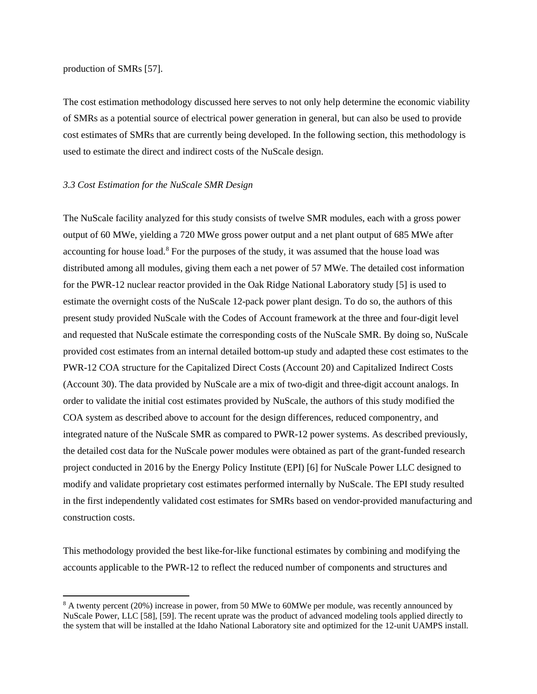#### production of SMRs [57].

 $\overline{\phantom{a}}$ 

The cost estimation methodology discussed here serves to not only help determine the economic viability of SMRs as a potential source of electrical power generation in general, but can also be used to provide cost estimates of SMRs that are currently being developed. In the following section, this methodology is used to estimate the direct and indirect costs of the NuScale design.

#### *3.3 Cost Estimation for the NuScale SMR Design*

The NuScale facility analyzed for this study consists of twelve SMR modules, each with a gross power output of 60 MWe, yielding a 720 MWe gross power output and a net plant output of 685 MWe after accounting for house load.<sup>[8](#page-21-0)</sup> For the purposes of the study, it was assumed that the house load was distributed among all modules, giving them each a net power of 57 MWe. The detailed cost information for the PWR-12 nuclear reactor provided in the Oak Ridge National Laboratory study [5] is used to estimate the overnight costs of the NuScale 12-pack power plant design. To do so, the authors of this present study provided NuScale with the Codes of Account framework at the three and four-digit level and requested that NuScale estimate the corresponding costs of the NuScale SMR. By doing so, NuScale provided cost estimates from an internal detailed bottom-up study and adapted these cost estimates to the PWR-12 COA structure for the Capitalized Direct Costs (Account 20) and Capitalized Indirect Costs (Account 30). The data provided by NuScale are a mix of two-digit and three-digit account analogs. In order to validate the initial cost estimates provided by NuScale, the authors of this study modified the COA system as described above to account for the design differences, reduced componentry, and integrated nature of the NuScale SMR as compared to PWR-12 power systems. As described previously, the detailed cost data for the NuScale power modules were obtained as part of the grant-funded research project conducted in 2016 by the Energy Policy Institute (EPI) [6] for NuScale Power LLC designed to modify and validate proprietary cost estimates performed internally by NuScale. The EPI study resulted in the first independently validated cost estimates for SMRs based on vendor-provided manufacturing and construction costs.

This methodology provided the best like-for-like functional estimates by combining and modifying the accounts applicable to the PWR-12 to reflect the reduced number of components and structures and

<span id="page-21-0"></span><sup>&</sup>lt;sup>8</sup> A twenty percent (20%) increase in power, from 50 MWe to 60MWe per module, was recently announced by NuScale Power, LLC [58], [59]. The recent uprate was the product of advanced modeling tools applied directly to the system that will be installed at the Idaho National Laboratory site and optimized for the 12-unit UAMPS install.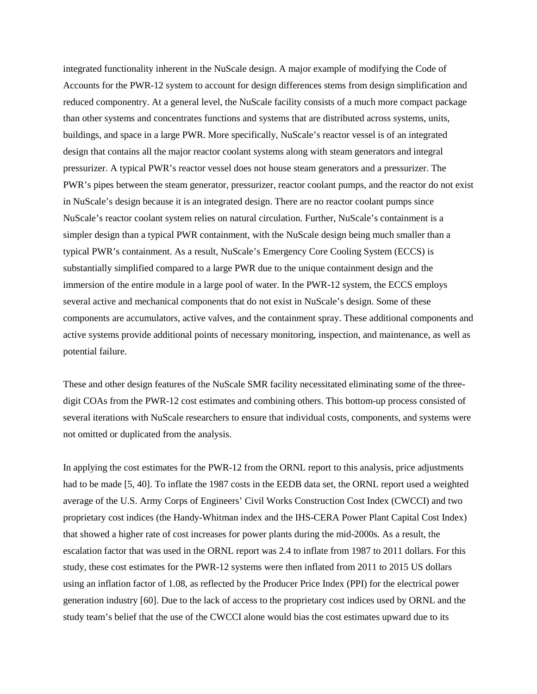integrated functionality inherent in the NuScale design. A major example of modifying the Code of Accounts for the PWR-12 system to account for design differences stems from design simplification and reduced componentry. At a general level, the NuScale facility consists of a much more compact package than other systems and concentrates functions and systems that are distributed across systems, units, buildings, and space in a large PWR. More specifically, NuScale's reactor vessel is of an integrated design that contains all the major reactor coolant systems along with steam generators and integral pressurizer. A typical PWR's reactor vessel does not house steam generators and a pressurizer. The PWR's pipes between the steam generator, pressurizer, reactor coolant pumps, and the reactor do not exist in NuScale's design because it is an integrated design. There are no reactor coolant pumps since NuScale's reactor coolant system relies on natural circulation. Further, NuScale's containment is a simpler design than a typical PWR containment, with the NuScale design being much smaller than a typical PWR's containment. As a result, NuScale's Emergency Core Cooling System (ECCS) is substantially simplified compared to a large PWR due to the unique containment design and the immersion of the entire module in a large pool of water. In the PWR-12 system, the ECCS employs several active and mechanical components that do not exist in NuScale's design. Some of these components are accumulators, active valves, and the containment spray. These additional components and active systems provide additional points of necessary monitoring, inspection, and maintenance, as well as potential failure.

These and other design features of the NuScale SMR facility necessitated eliminating some of the threedigit COAs from the PWR-12 cost estimates and combining others. This bottom-up process consisted of several iterations with NuScale researchers to ensure that individual costs, components, and systems were not omitted or duplicated from the analysis.

In applying the cost estimates for the PWR-12 from the ORNL report to this analysis, price adjustments had to be made [5, 40]. To inflate the 1987 costs in the EEDB data set, the ORNL report used a weighted average of the U.S. Army Corps of Engineers' Civil Works Construction Cost Index (CWCCI) and two proprietary cost indices (the Handy-Whitman index and the IHS-CERA Power Plant Capital Cost Index) that showed a higher rate of cost increases for power plants during the mid-2000s. As a result, the escalation factor that was used in the ORNL report was 2.4 to inflate from 1987 to 2011 dollars. For this study, these cost estimates for the PWR-12 systems were then inflated from 2011 to 2015 US dollars using an inflation factor of 1.08, as reflected by the Producer Price Index (PPI) for the electrical power generation industry [60]. Due to the lack of access to the proprietary cost indices used by ORNL and the study team's belief that the use of the CWCCI alone would bias the cost estimates upward due to its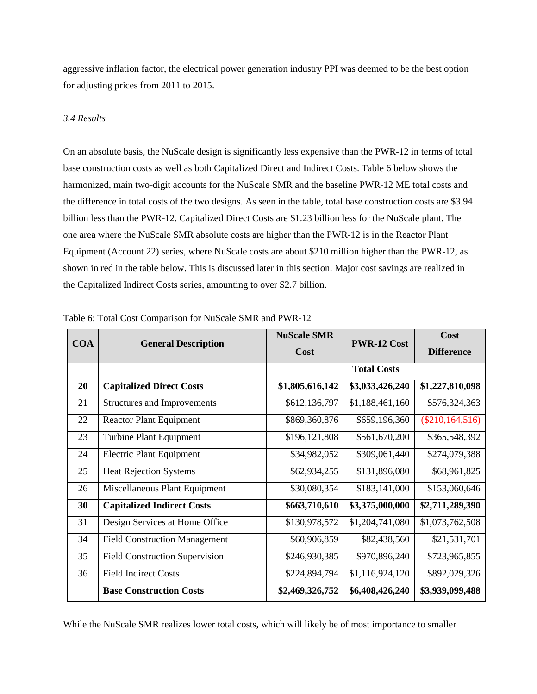aggressive inflation factor, the electrical power generation industry PPI was deemed to be the best option for adjusting prices from 2011 to 2015.

# *3.4 Results*

On an absolute basis, the NuScale design is significantly less expensive than the PWR-12 in terms of total base construction costs as well as both Capitalized Direct and Indirect Costs. Table 6 below shows the harmonized, main two-digit accounts for the NuScale SMR and the baseline PWR-12 ME total costs and the difference in total costs of the two designs. As seen in the table, total base construction costs are \$3.94 billion less than the PWR-12. Capitalized Direct Costs are \$1.23 billion less for the NuScale plant. The one area where the NuScale SMR absolute costs are higher than the PWR-12 is in the Reactor Plant Equipment (Account 22) series, where NuScale costs are about \$210 million higher than the PWR-12, as shown in red in the table below. This is discussed later in this section. Major cost savings are realized in the Capitalized Indirect Costs series, amounting to over \$2.7 billion.

| <b>COA</b> |                                       | <b>NuScale SMR</b> | <b>PWR-12 Cost</b> | Cost              |
|------------|---------------------------------------|--------------------|--------------------|-------------------|
|            | <b>General Description</b>            | Cost               |                    | <b>Difference</b> |
|            |                                       | <b>Total Costs</b> |                    |                   |
| 20         | <b>Capitalized Direct Costs</b>       | \$1,805,616,142    | \$3,033,426,240    | \$1,227,810,098   |
| 21         | <b>Structures and Improvements</b>    | \$612,136,797      | \$1,188,461,160    | \$576,324,363     |
| 22         | <b>Reactor Plant Equipment</b>        | \$869,360,876      | \$659,196,360      | $(\$210,164,516)$ |
| 23         | <b>Turbine Plant Equipment</b>        | \$196,121,808      | \$561,670,200      | \$365,548,392     |
| 24         | <b>Electric Plant Equipment</b>       | \$34,982,052       | \$309,061,440      | \$274,079,388     |
| 25         | <b>Heat Rejection Systems</b>         | \$62,934,255       | \$131,896,080      | \$68,961,825      |
| 26         | Miscellaneous Plant Equipment         | \$30,080,354       | \$183,141,000      | \$153,060,646     |
| 30         | <b>Capitalized Indirect Costs</b>     | \$663,710,610      | \$3,375,000,000    | \$2,711,289,390   |
| 31         | Design Services at Home Office        | \$130,978,572      | \$1,204,741,080    | \$1,073,762,508   |
| 34         | <b>Field Construction Management</b>  | \$60,906,859       | \$82,438,560       | \$21,531,701      |
| 35         | <b>Field Construction Supervision</b> | \$246,930,385      | \$970,896,240      | \$723,965,855     |
| 36         | <b>Field Indirect Costs</b>           | \$224,894,794      | \$1,116,924,120    | \$892,029,326     |
|            | <b>Base Construction Costs</b>        | \$2,469,326,752    | \$6,408,426,240    | \$3,939,099,488   |

Table 6: Total Cost Comparison for NuScale SMR and PWR-12

While the NuScale SMR realizes lower total costs, which will likely be of most importance to smaller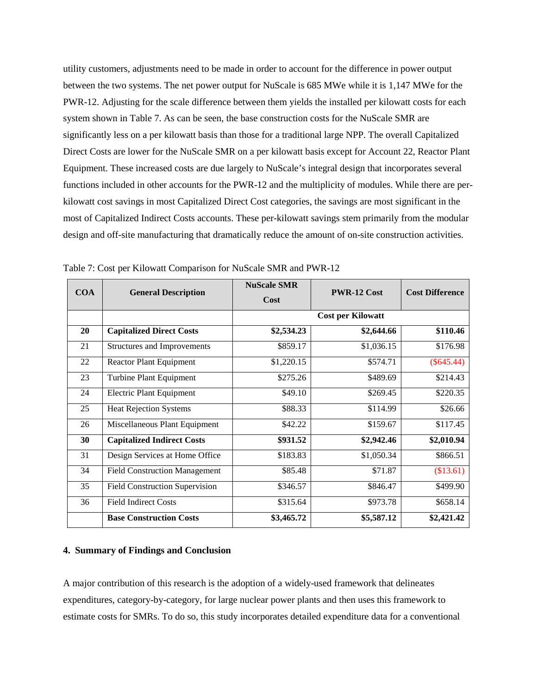utility customers, adjustments need to be made in order to account for the difference in power output between the two systems. The net power output for NuScale is 685 MWe while it is 1,147 MWe for the PWR-12. Adjusting for the scale difference between them yields the installed per kilowatt costs for each system shown in Table 7. As can be seen, the base construction costs for the NuScale SMR are significantly less on a per kilowatt basis than those for a traditional large NPP. The overall Capitalized Direct Costs are lower for the NuScale SMR on a per kilowatt basis except for Account 22, Reactor Plant Equipment. These increased costs are due largely to NuScale's integral design that incorporates several functions included in other accounts for the PWR-12 and the multiplicity of modules. While there are perkilowatt cost savings in most Capitalized Direct Cost categories, the savings are most significant in the most of Capitalized Indirect Costs accounts. These per-kilowatt savings stem primarily from the modular design and off-site manufacturing that dramatically reduce the amount of on-site construction activities.

| <b>COA</b> | <b>General Description</b>            | <b>NuScale SMR</b>       | <b>PWR-12 Cost</b> | <b>Cost Difference</b> |
|------------|---------------------------------------|--------------------------|--------------------|------------------------|
|            |                                       | Cost                     |                    |                        |
|            |                                       | <b>Cost per Kilowatt</b> |                    |                        |
| 20         | <b>Capitalized Direct Costs</b>       | \$2,534.23               | \$2,644.66         | \$110.46               |
| 21         | Structures and Improvements           | \$859.17                 | \$1,036.15         | \$176.98               |
| 22         | <b>Reactor Plant Equipment</b>        | \$1,220.15               | \$574.71           | $(\$645.44)$           |
| 23         | Turbine Plant Equipment               | \$275.26                 | \$489.69           | \$214.43               |
| 24         | <b>Electric Plant Equipment</b>       | \$49.10                  | \$269.45           | \$220.35               |
| 25         | <b>Heat Rejection Systems</b>         | \$88.33                  | \$114.99           | \$26.66                |
| 26         | Miscellaneous Plant Equipment         | \$42.22                  | \$159.67           | \$117.45               |
| 30         | <b>Capitalized Indirect Costs</b>     | \$931.52                 | \$2,942.46         | \$2,010.94             |
| 31         | Design Services at Home Office        | \$183.83                 | \$1,050.34         | \$866.51               |
| 34         | <b>Field Construction Management</b>  | \$85.48                  | \$71.87            | (\$13.61)              |
| 35         | <b>Field Construction Supervision</b> | \$346.57                 | \$846.47           | \$499.90               |
| 36         | <b>Field Indirect Costs</b>           | \$315.64                 | \$973.78           | \$658.14               |
|            | <b>Base Construction Costs</b>        | \$3,465.72               | \$5,587.12         | \$2,421.42             |

Table 7: Cost per Kilowatt Comparison for NuScale SMR and PWR-12

# **4. Summary of Findings and Conclusion**

A major contribution of this research is the adoption of a widely-used framework that delineates expenditures, category-by-category, for large nuclear power plants and then uses this framework to estimate costs for SMRs. To do so, this study incorporates detailed expenditure data for a conventional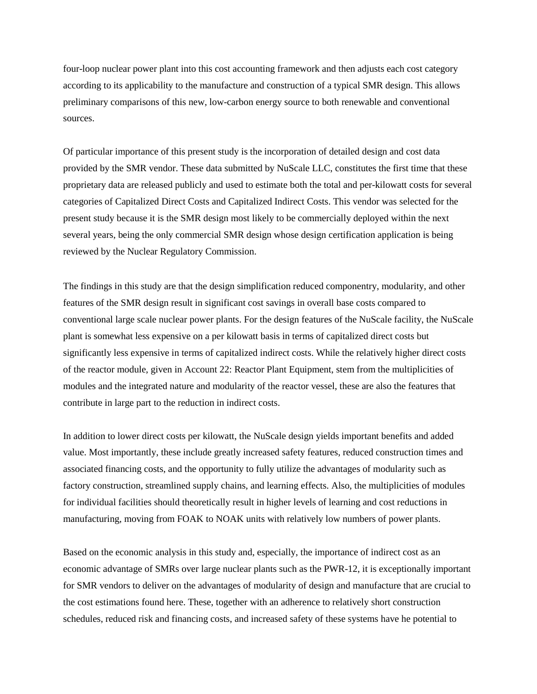four-loop nuclear power plant into this cost accounting framework and then adjusts each cost category according to its applicability to the manufacture and construction of a typical SMR design. This allows preliminary comparisons of this new, low-carbon energy source to both renewable and conventional sources.

Of particular importance of this present study is the incorporation of detailed design and cost data provided by the SMR vendor. These data submitted by NuScale LLC, constitutes the first time that these proprietary data are released publicly and used to estimate both the total and per-kilowatt costs for several categories of Capitalized Direct Costs and Capitalized Indirect Costs. This vendor was selected for the present study because it is the SMR design most likely to be commercially deployed within the next several years, being the only commercial SMR design whose design certification application is being reviewed by the Nuclear Regulatory Commission.

The findings in this study are that the design simplification reduced componentry, modularity, and other features of the SMR design result in significant cost savings in overall base costs compared to conventional large scale nuclear power plants. For the design features of the NuScale facility, the NuScale plant is somewhat less expensive on a per kilowatt basis in terms of capitalized direct costs but significantly less expensive in terms of capitalized indirect costs. While the relatively higher direct costs of the reactor module, given in Account 22: Reactor Plant Equipment, stem from the multiplicities of modules and the integrated nature and modularity of the reactor vessel, these are also the features that contribute in large part to the reduction in indirect costs.

In addition to lower direct costs per kilowatt, the NuScale design yields important benefits and added value. Most importantly, these include greatly increased safety features, reduced construction times and associated financing costs, and the opportunity to fully utilize the advantages of modularity such as factory construction, streamlined supply chains, and learning effects. Also, the multiplicities of modules for individual facilities should theoretically result in higher levels of learning and cost reductions in manufacturing, moving from FOAK to NOAK units with relatively low numbers of power plants.

Based on the economic analysis in this study and, especially, the importance of indirect cost as an economic advantage of SMRs over large nuclear plants such as the PWR-12, it is exceptionally important for SMR vendors to deliver on the advantages of modularity of design and manufacture that are crucial to the cost estimations found here. These, together with an adherence to relatively short construction schedules, reduced risk and financing costs, and increased safety of these systems have he potential to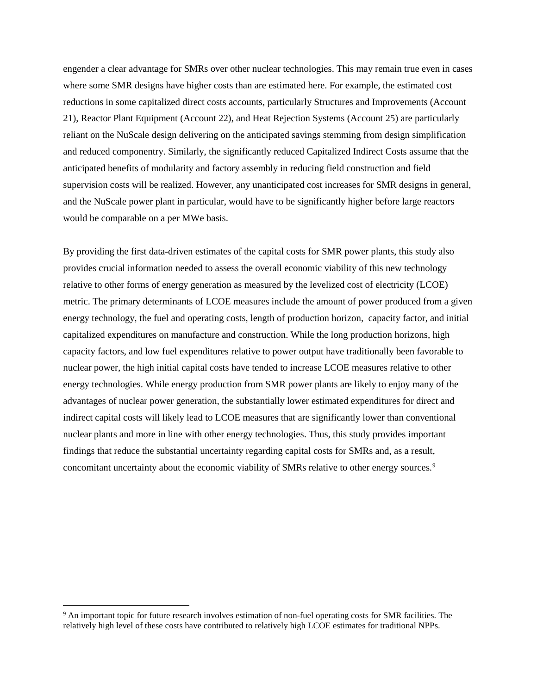engender a clear advantage for SMRs over other nuclear technologies. This may remain true even in cases where some SMR designs have higher costs than are estimated here. For example, the estimated cost reductions in some capitalized direct costs accounts, particularly Structures and Improvements (Account 21), Reactor Plant Equipment (Account 22), and Heat Rejection Systems (Account 25) are particularly reliant on the NuScale design delivering on the anticipated savings stemming from design simplification and reduced componentry. Similarly, the significantly reduced Capitalized Indirect Costs assume that the anticipated benefits of modularity and factory assembly in reducing field construction and field supervision costs will be realized. However, any unanticipated cost increases for SMR designs in general, and the NuScale power plant in particular, would have to be significantly higher before large reactors would be comparable on a per MWe basis.

By providing the first data-driven estimates of the capital costs for SMR power plants, this study also provides crucial information needed to assess the overall economic viability of this new technology relative to other forms of energy generation as measured by the levelized cost of electricity (LCOE) metric. The primary determinants of LCOE measures include the amount of power produced from a given energy technology, the fuel and operating costs, length of production horizon, capacity factor, and initial capitalized expenditures on manufacture and construction. While the long production horizons, high capacity factors, and low fuel expenditures relative to power output have traditionally been favorable to nuclear power, the high initial capital costs have tended to increase LCOE measures relative to other energy technologies. While energy production from SMR power plants are likely to enjoy many of the advantages of nuclear power generation, the substantially lower estimated expenditures for direct and indirect capital costs will likely lead to LCOE measures that are significantly lower than conventional nuclear plants and more in line with other energy technologies. Thus, this study provides important findings that reduce the substantial uncertainty regarding capital costs for SMRs and, as a result, concomitant uncertainty about the economic viability of SMRs relative to other energy sources.<sup>[9](#page-26-0)</sup>

 $\overline{\phantom{a}}$ 

<span id="page-26-0"></span><sup>9</sup> An important topic for future research involves estimation of non-fuel operating costs for SMR facilities. The relatively high level of these costs have contributed to relatively high LCOE estimates for traditional NPPs.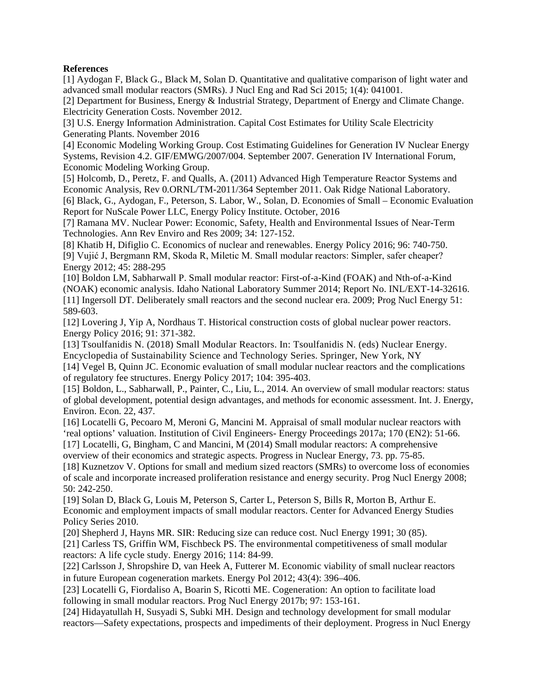# **References**

[1] Aydogan F, Black G., Black M, Solan D. Quantitative and qualitative comparison of light water and advanced small modular reactors (SMRs). J Nucl Eng and Rad Sci 2015; 1(4): 041001.

[2] Department for Business, Energy & Industrial Strategy, Department of Energy and Climate Change. Electricity Generation Costs. November 2012.

[3] U.S. Energy Information Administration. Capital Cost Estimates for Utility Scale Electricity Generating Plants. November 2016

[4] Economic Modeling Working Group. Cost Estimating Guidelines for Generation IV Nuclear Energy Systems, Revision 4.2. GIF/EMWG/2007/004. September 2007. Generation IV International Forum, Economic Modeling Working Group.

[5] Holcomb, D., Peretz, F. and Qualls, A. (2011) Advanced High Temperature Reactor Systems and Economic Analysis, Rev 0.ORNL/TM-2011/364 September 2011. Oak Ridge National Laboratory. [6] Black, G., Aydogan, F., Peterson, S. Labor, W., Solan, D. Economies of Small – Economic Evaluation Report for NuScale Power LLC, Energy Policy Institute. October, 2016

[7] Ramana MV. Nuclear Power: Economic, Safety, Health and Environmental Issues of Near-Term Technologies. Ann Rev Enviro and Res 2009; 34: 127-152.

[8] Khatib H, Difiglio C. Economics of nuclear and renewables. Energy Policy 2016; 96: 740-750. [9] Vujić J, Bergmann RM, Skoda R, Miletic M. Small modular reactors: Simpler, safer cheaper? Energy 2012; 45: 288-295

[10] Boldon LM, Sabharwall P. Small modular reactor: First-of-a-Kind (FOAK) and Nth-of-a-Kind (NOAK) economic analysis. Idaho National Laboratory Summer 2014; Report No. INL/EXT-14-32616. [11] Ingersoll DT. Deliberately small reactors and the second nuclear era. 2009; Prog Nucl Energy 51: 589-603.

[12] Lovering J, Yip A, Nordhaus T. Historical construction costs of global nuclear power reactors. Energy Policy 2016; 91: 371-382.

[13] Tsoulfanidis N. (2018) Small Modular Reactors. In: Tsoulfanidis N. (eds) Nuclear Energy. Encyclopedia of Sustainability Science and Technology Series. Springer, New York, NY

[14] Vegel B, Quinn JC. Economic evaluation of small modular nuclear reactors and the complications of regulatory fee structures. Energy Policy 2017; 104: 395-403.

[15] Boldon, L., Sabharwall, P., Painter, C., Liu, L., 2014. An overview of small modular reactors: status of global development, potential design advantages, and methods for economic assessment. Int. J. Energy, Environ. Econ. 22, 437.

[16] Locatelli G, Pecoaro M, Meroni G, Mancini M. Appraisal of small modular nuclear reactors with 'real options' valuation. Institution of Civil Engineers- Energy Proceedings 2017a; 170 (EN2): 51-66. [17] Locatelli, G, Bingham, C and Mancini, M (2014) Small modular reactors: A comprehensive overview of their economics and strategic aspects. Progress in Nuclear Energy, 73. pp. 75-85.

[18] Kuznetzov V. Options for small and medium sized reactors (SMRs) to overcome loss of economies of scale and incorporate increased proliferation resistance and energy security. Prog Nucl Energy 2008; 50: 242-250.

[19] Solan D, Black G, Louis M, Peterson S, Carter L, Peterson S, Bills R, Morton B, Arthur E. Economic and employment impacts of small modular reactors. Center for Advanced Energy Studies Policy Series 2010.

[20] Shepherd J, Hayns MR. SIR: Reducing size can reduce cost. Nucl Energy 1991; 30 (85). [21] Carless TS, Griffin WM, Fischbeck PS. The environmental competitiveness of small modular reactors: A life cycle study. Energy 2016; 114: 84-99.

[22] Carlsson J, Shropshire D, van Heek A, Futterer M. Economic viability of small nuclear reactors in future European cogeneration markets. Energy Pol 2012; 43(4): 396–406.

[23] Locatelli G, Fiordaliso A, Boarin S, Ricotti ME. Cogeneration: An option to facilitate load following in small modular reactors. Prog Nucl Energy 2017b; 97: 153-161.

[24] Hidayatullah H, Susyadi S, Subki MH. Design and technology development for small modular reactors—Safety expectations, prospects and impediments of their deployment. Progress in Nucl Energy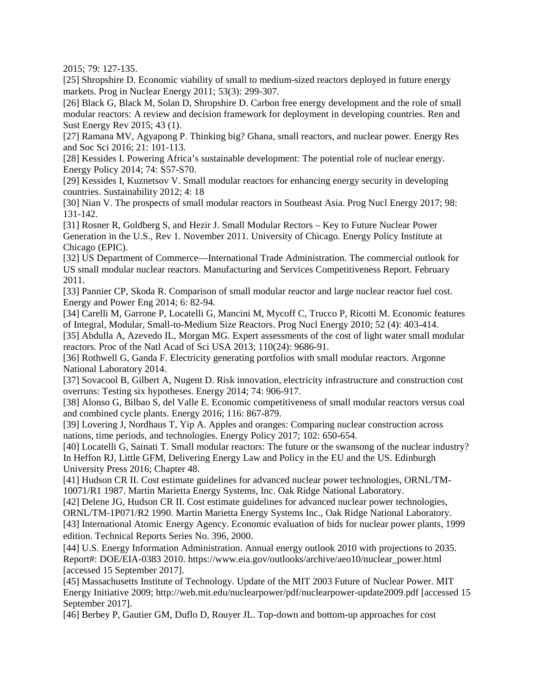2015; 79: 127-135.

[25] Shropshire D. Economic viability of small to medium-sized reactors deployed in future energy markets. Prog in Nuclear Energy 2011; 53(3): 299-307.

[26] Black G, Black M, Solan D, Shropshire D. Carbon free energy development and the role of small modular reactors: A review and decision framework for deployment in developing countries. Ren and Sust Energy Rev 2015; 43 (1).

[27] Ramana MV, Agyapong P. Thinking big? Ghana, small reactors, and nuclear power. Energy Res and Soc Sci 2016; 21: 101-113.

[28] Kessides I. Powering Africa's sustainable development: The potential role of nuclear energy. Energy Policy 2014; 74: S57-S70.

[29] Kessides I, Kuznetsov V. Small modular reactors for enhancing energy security in developing countries. Sustainability 2012; 4: 18

[30] Nian V. The prospects of small modular reactors in Southeast Asia. Prog Nucl Energy 2017; 98: 131-142.

[31] Rosner R, Goldberg S, and Hezir J. Small Modular Rectors – Key to Future Nuclear Power Generation in the U.S., Rev 1. November 2011. University of Chicago. Energy Policy Institute at Chicago (EPIC).

[32] US Department of Commerce—International Trade Administration. The commercial outlook for US small modular nuclear reactors. Manufacturing and Services Competitiveness Report. February 2011.

[33] Pannier CP, Skoda R. Comparison of small modular reactor and large nuclear reactor fuel cost. Energy and Power Eng 2014; 6: 82-94.

[34] Carelli M, Garrone P, Locatelli G, Mancini M, Mycoff C, Trucco P, Ricotti M. Economic features of Integral, Modular, Small-to-Medium Size Reactors. Prog Nucl Energy 2010; 52 (4): 403-414.

[35] Abdulla A, Azevedo IL, Morgan MG. Expert assessments of the cost of light water small modular reactors. Proc of the Natl Acad of Sci USA 2013; 110(24): 9686-91.

[36] Rothwell G, Ganda F. Electricity generating portfolios with small modular reactors. Argonne National Laboratory 2014.

[37] Sovacool B, Gilbert A, Nugent D. Risk innovation, electricity infrastructure and construction cost overruns: Testing six hypotheses. Energy 2014; 74: 906-917.

[38] Alonso G, Bilbao S, del Valle E. Economic competitiveness of small modular reactors versus coal and combined cycle plants. Energy 2016; 116: 867-879.

[39] Lovering J, Nordhaus T, Yip A. Apples and oranges: Comparing nuclear construction across nations, time periods, and technologies. Energy Policy 2017; 102: 650-654.

[40] Locatelli G, Sainati T. Small modular reactors: The future or the swansong of the nuclear industry? In Heffon RJ, Little GFM, Delivering Energy Law and Policy in the EU and the US. Edinburgh University Press 2016; Chapter 48.

[41] Hudson CR II. Cost estimate guidelines for advanced nuclear power technologies, ORNL/TM-10071/R1 1987. Martin Marietta Energy Systems, Inc. Oak Ridge National Laboratory.

[42] Delene JG, Hudson CR II. Cost estimate guidelines for advanced nuclear power technologies, ORNL/TM-1P071/R2 1990. Martin Marietta Energy Systems Inc., Oak Ridge National Laboratory.

[43] International Atomic Energy Agency. Economic evaluation of bids for nuclear power plants, 1999 edition. Technical Reports Series No. 396, 2000.

[44] U.S. Energy Information Administration. Annual energy outlook 2010 with projections to 2035. Report#: DOE/EIA-0383 2010. https://www.eia.gov/outlooks/archive/aeo10/nuclear\_power.html [accessed 15 September 2017].

[45] Massachusetts Institute of Technology. Update of the MIT 2003 Future of Nuclear Power. MIT Energy Initiative 2009; [http://web.mit.edu/nuclearpower/pdf/nuclearpower-update2009.pdf](https://docs.google.com/viewer?url=http%3A%2F%2Fweb.mit.edu%2Fnuclearpower%2Fpdf%2Fnuclearpower-update2009.pdf) [accessed 15 September 2017].

[46] Berbey P, Gautier GM, Duflo D, Rouyer JL. Top-down and bottom-up approaches for cost